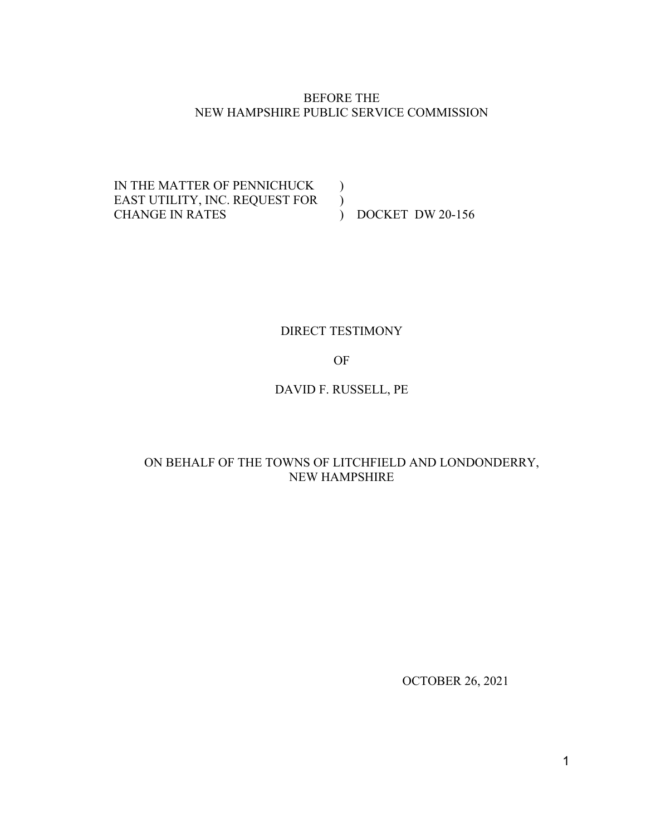### BEFORE THE NEW HAMPSHIRE PUBLIC SERVICE COMMISSION

IN THE MATTER OF PENNICHUCK EAST UTILITY, INC. REQUEST FOR ) CHANGE IN RATES )

) DOCKET DW 20-156

# DIRECT TESTIMONY

OF

DAVID F. RUSSELL, PE

# ON BEHALF OF THE TOWNS OF LITCHFIELD AND LONDONDERRY, NEW HAMPSHIRE

OCTOBER 26, 2021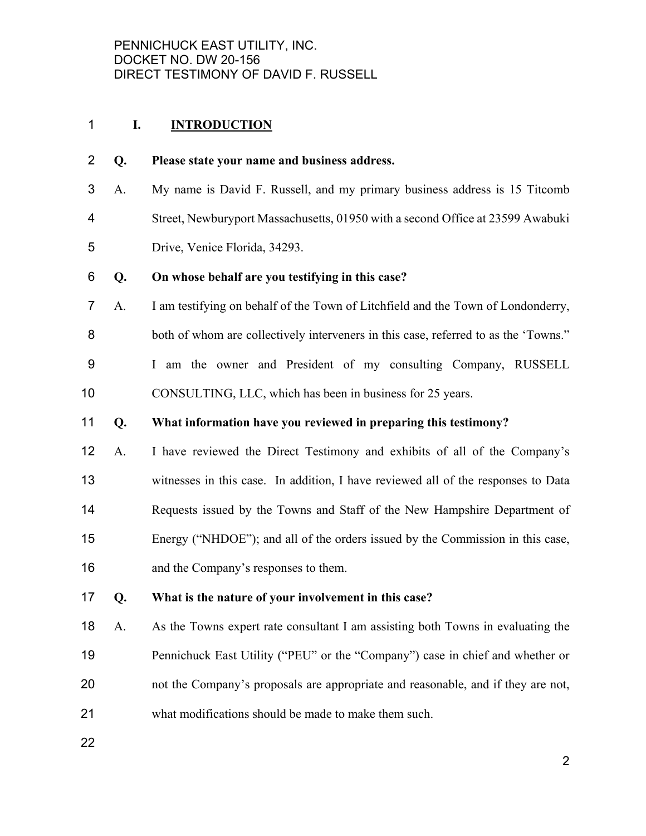## **I. INTRODUCTION**

#### **Q. Please state your name and business address.**

A. My name is David F. Russell, and my primary business address is 15 Titcomb Street, Newburyport Massachusetts, 01950 with a second Office at 23599 Awabuki Drive, Venice Florida, 34293.

#### **Q. On whose behalf are you testifying in this case?**

A. I am testifying on behalf of the Town of Litchfield and the Town of Londonderry, both of whom are collectively interveners in this case, referred to as the 'Towns." I am the owner and President of my consulting Company, RUSSELL CONSULTING, LLC, which has been in business for 25 years.

### **Q. What information have you reviewed in preparing this testimony?**

A. I have reviewed the Direct Testimony and exhibits of all of the Company's witnesses in this case. In addition, I have reviewed all of the responses to Data 14 Requests issued by the Towns and Staff of the New Hampshire Department of Energy ("NHDOE"); and all of the orders issued by the Commission in this case, and the Company's responses to them.

# **Q. What is the nature of your involvement in this case?**

A. As the Towns expert rate consultant I am assisting both Towns in evaluating the Pennichuck East Utility ("PEU" or the "Company") case in chief and whether or not the Company's proposals are appropriate and reasonable, and if they are not, what modifications should be made to make them such.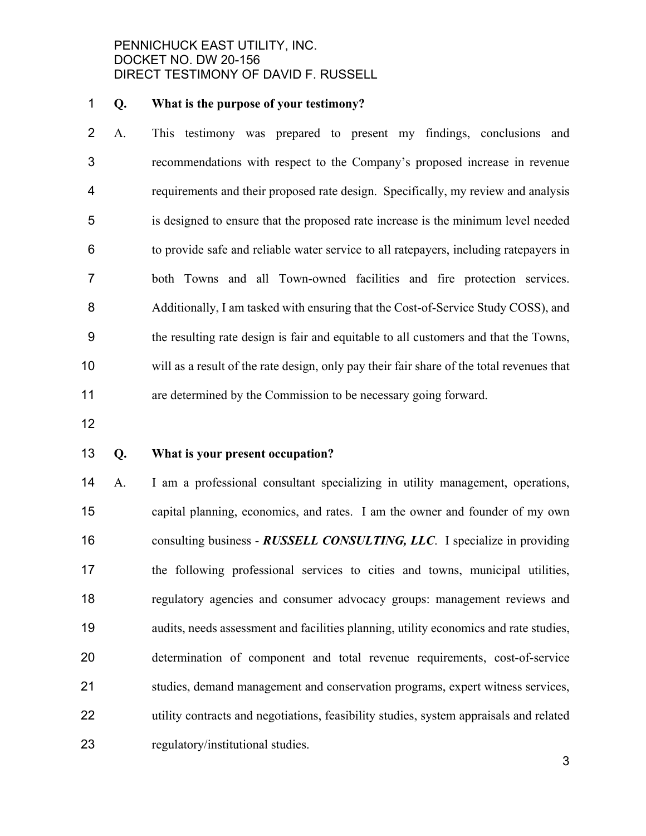#### **Q. What is the purpose of your testimony?**

A. This testimony was prepared to present my findings, conclusions and recommendations with respect to the Company's proposed increase in revenue requirements and their proposed rate design. Specifically, my review and analysis is designed to ensure that the proposed rate increase is the minimum level needed to provide safe and reliable water service to all ratepayers, including ratepayers in both Towns and all Town-owned facilities and fire protection services. 8 Additionally, I am tasked with ensuring that the Cost-of-Service Study COSS), and the resulting rate design is fair and equitable to all customers and that the Towns, will as a result of the rate design, only pay their fair share of the total revenues that are determined by the Commission to be necessary going forward.

#### **Q. What is your present occupation?**

A. I am a professional consultant specializing in utility management, operations, capital planning, economics, and rates. I am the owner and founder of my own consulting business - *RUSSELL CONSULTING, LLC*. I specialize in providing the following professional services to cities and towns, municipal utilities, regulatory agencies and consumer advocacy groups: management reviews and audits, needs assessment and facilities planning, utility economics and rate studies, determination of component and total revenue requirements, cost-of-service studies, demand management and conservation programs, expert witness services, utility contracts and negotiations, feasibility studies, system appraisals and related regulatory/institutional studies.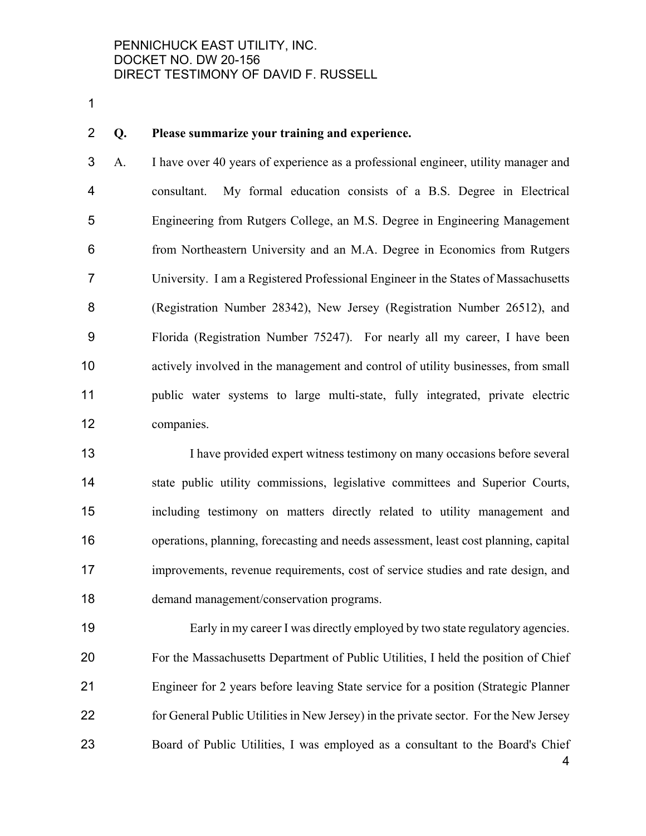#### **Q. Please summarize your training and experience.**

A. I have over 40 years of experience as a professional engineer, utility manager and consultant. My formal education consists of a B.S. Degree in Electrical Engineering from Rutgers College, an M.S. Degree in Engineering Management from Northeastern University and an M.A. Degree in Economics from Rutgers University. I am a Registered Professional Engineer in the States of Massachusetts (Registration Number 28342), New Jersey (Registration Number 26512), and Florida (Registration Number 75247). For nearly all my career, I have been actively involved in the management and control of utility businesses, from small public water systems to large multi-state, fully integrated, private electric companies.

I have provided expert witness testimony on many occasions before several state public utility commissions, legislative committees and Superior Courts, including testimony on matters directly related to utility management and operations, planning, forecasting and needs assessment, least cost planning, capital improvements, revenue requirements, cost of service studies and rate design, and demand management/conservation programs.

Early in my career I was directly employed by two state regulatory agencies. For the Massachusetts Department of Public Utilities, I held the position of Chief Engineer for 2 years before leaving State service for a position (Strategic Planner for General Public Utilities in New Jersey) in the private sector. For the New Jersey Board of Public Utilities, I was employed as a consultant to the Board's Chief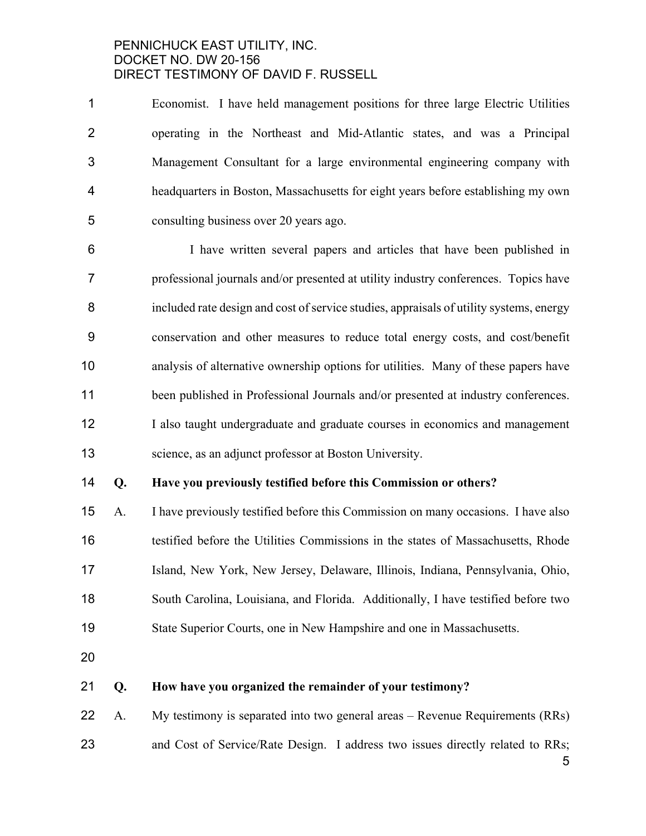Economist. I have held management positions for three large Electric Utilities operating in the Northeast and Mid-Atlantic states, and was a Principal Management Consultant for a large environmental engineering company with headquarters in Boston, Massachusetts for eight years before establishing my own consulting business over 20 years ago.

I have written several papers and articles that have been published in professional journals and/or presented at utility industry conferences. Topics have included rate design and cost of service studies, appraisals of utility systems, energy conservation and other measures to reduce total energy costs, and cost/benefit analysis of alternative ownership options for utilities. Many of these papers have been published in Professional Journals and/or presented at industry conferences. 12 I also taught undergraduate and graduate courses in economics and management science, as an adjunct professor at Boston University.

## **Q. Have you previously testified before this Commission or others?**

A. I have previously testified before this Commission on many occasions. I have also testified before the Utilities Commissions in the states of Massachusetts, Rhode Island, New York, New Jersey, Delaware, Illinois, Indiana, Pennsylvania, Ohio, South Carolina, Louisiana, and Florida. Additionally, I have testified before two State Superior Courts, one in New Hampshire and one in Massachusetts.

## **Q. How have you organized the remainder of your testimony?**

- A. My testimony is separated into two general areas Revenue Requirements (RRs)
- 23 and Cost of Service/Rate Design. I address two issues directly related to RRs;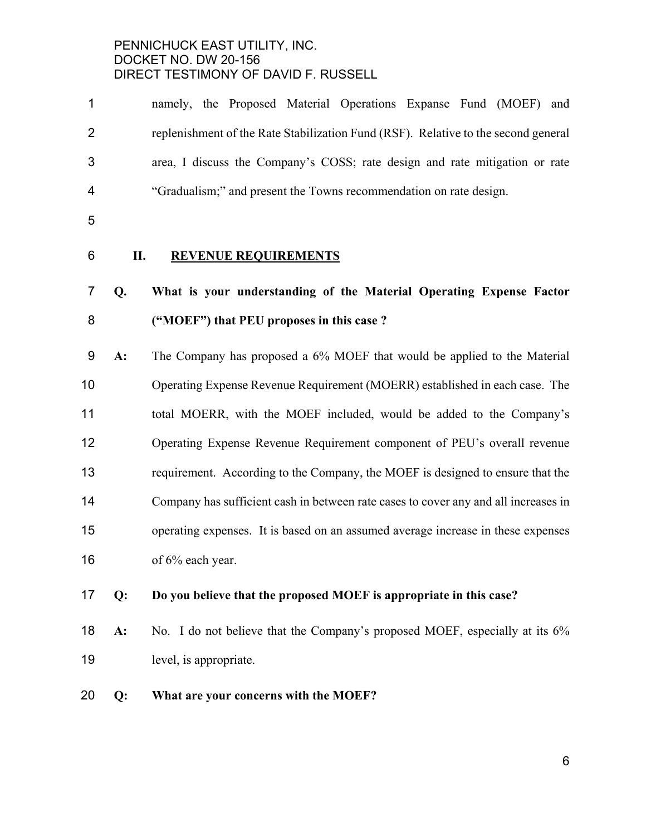| 1              |    | namely, the Proposed Material Operations Expanse Fund (MOEF) and                    |
|----------------|----|-------------------------------------------------------------------------------------|
| $\overline{2}$ |    | replenishment of the Rate Stabilization Fund (RSF). Relative to the second general  |
| 3              |    | area, I discuss the Company's COSS; rate design and rate mitigation or rate         |
| 4              |    | "Gradualism;" and present the Towns recommendation on rate design.                  |
| 5              |    |                                                                                     |
| 6              | П. | <b>REVENUE REQUIREMENTS</b>                                                         |
| $\overline{7}$ | Q. | What is your understanding of the Material Operating Expense Factor                 |
| 8              |    | ("MOEF") that PEU proposes in this case?                                            |
| 9              | A: | The Company has proposed a 6% MOEF that would be applied to the Material            |
| 10             |    | Operating Expense Revenue Requirement (MOERR) established in each case. The         |
| 11             |    | total MOERR, with the MOEF included, would be added to the Company's                |
| 12             |    | Operating Expense Revenue Requirement component of PEU's overall revenue            |
| 13             |    | requirement. According to the Company, the MOEF is designed to ensure that the      |
| 14             |    | Company has sufficient cash in between rate cases to cover any and all increases in |
| 15             |    | operating expenses. It is based on an assumed average increase in these expenses    |
| 16             |    | of 6% each year.                                                                    |
| 17             | Q: | Do you believe that the proposed MOEF is appropriate in this case?                  |

- **A:** No. I do not believe that the Company's proposed MOEF, especially at its 6% level, is appropriate.
- **Q: What are your concerns with the MOEF?**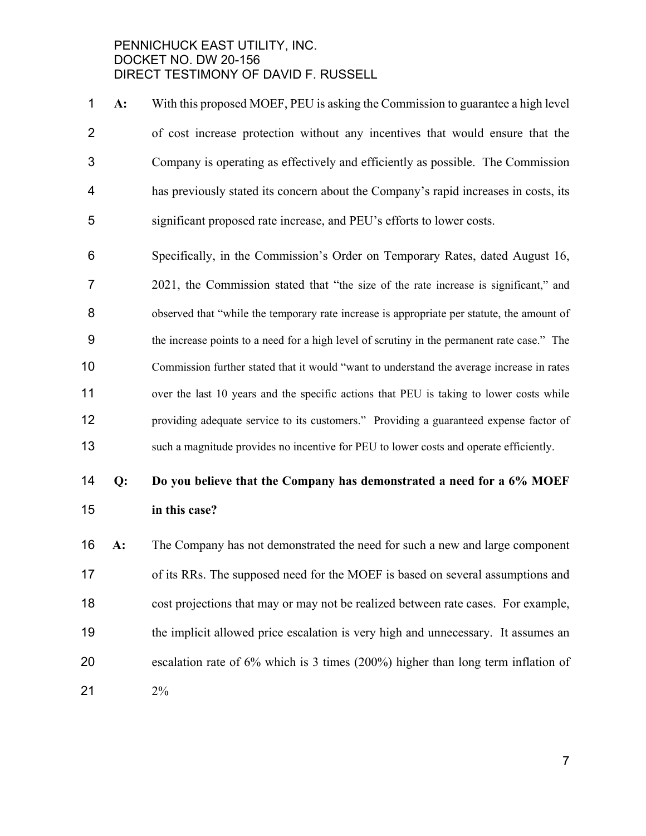**A:** With this proposed MOEF, PEU is asking the Commission to guarantee a high level of cost increase protection without any incentives that would ensure that the Company is operating as effectively and efficiently as possible. The Commission has previously stated its concern about the Company's rapid increases in costs, its significant proposed rate increase, and PEU's efforts to lower costs.

Specifically, in the Commission's Order on Temporary Rates, dated August 16, 2021, the Commission stated that "the size of the rate increase is significant," and 8 observed that "while the temporary rate increase is appropriate per statute, the amount of the increase points to a need for a high level of scrutiny in the permanent rate case." The Commission further stated that it would "want to understand the average increase in rates 11 over the last 10 years and the specific actions that PEU is taking to lower costs while providing adequate service to its customers." Providing a guaranteed expense factor of such a magnitude provides no incentive for PEU to lower costs and operate efficiently.

# **Q: Do you believe that the Company has demonstrated a need for a 6% MOEF in this case?**

**A:** The Company has not demonstrated the need for such a new and large component of its RRs. The supposed need for the MOEF is based on several assumptions and cost projections that may or may not be realized between rate cases. For example, the implicit allowed price escalation is very high and unnecessary. It assumes an escalation rate of 6% which is 3 times (200%) higher than long term inflation of 2%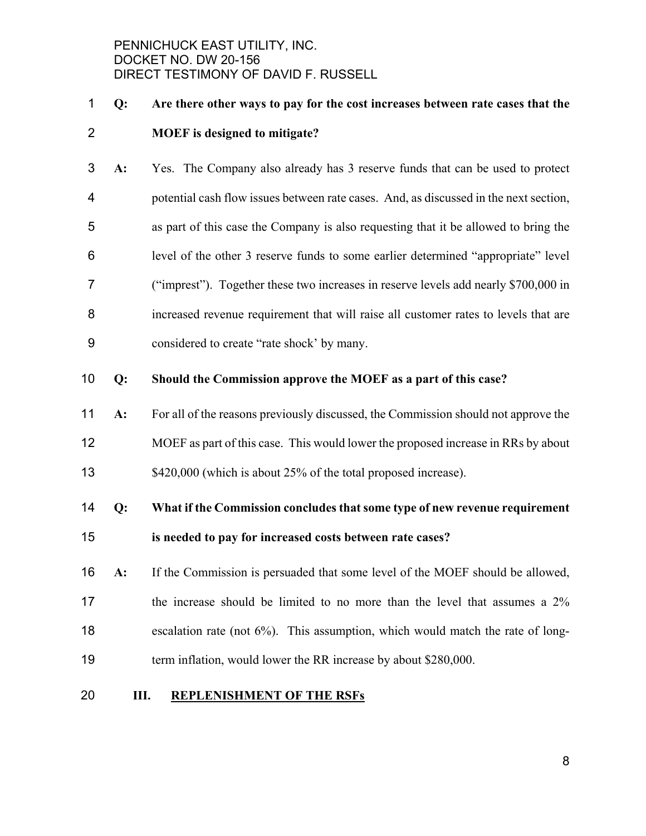# **Q: Are there other ways to pay for the cost increases between rate cases that the MOEF is designed to mitigate?**

**A:** Yes. The Company also already has 3 reserve funds that can be used to protect potential cash flow issues between rate cases. And, as discussed in the next section, as part of this case the Company is also requesting that it be allowed to bring the level of the other 3 reserve funds to some earlier determined "appropriate" level ("imprest"). Together these two increases in reserve levels add nearly \$700,000 in increased revenue requirement that will raise all customer rates to levels that are considered to create "rate shock' by many.

#### **Q: Should the Commission approve the MOEF as a part of this case?**

**A:** For all of the reasons previously discussed, the Commission should not approve the MOEF as part of this case. This would lower the proposed increase in RRs by about 13 \$420,000 (which is about 25% of the total proposed increase).

# **Q: What if the Commission concludes that some type of new revenue requirement is needed to pay for increased costs between rate cases?**

**A:** If the Commission is persuaded that some level of the MOEF should be allowed, 17 the increase should be limited to no more than the level that assumes a  $2\%$ escalation rate (not 6%). This assumption, which would match the rate of long-19 term inflation, would lower the RR increase by about \$280,000.

#### **III. REPLENISHMENT OF THE RSFs**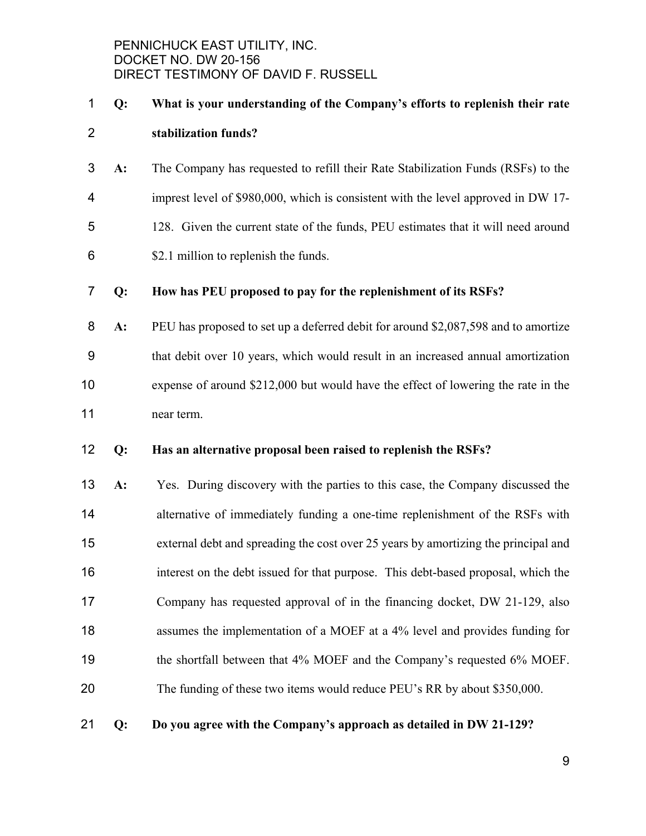# **Q: What is your understanding of the Company's efforts to replenish their rate stabilization funds?**

**A:** The Company has requested to refill their Rate Stabilization Funds (RSFs) to the imprest level of \$980,000, which is consistent with the level approved in DW 17- 128. Given the current state of the funds, PEU estimates that it will need around \$2.1 million to replenish the funds.

#### **Q: How has PEU proposed to pay for the replenishment of its RSFs?**

**A:** PEU has proposed to set up a deferred debit for around \$2,087,598 and to amortize that debit over 10 years, which would result in an increased annual amortization expense of around \$212,000 but would have the effect of lowering the rate in the near term.

#### **Q: Has an alternative proposal been raised to replenish the RSFs?**

**A:** Yes. During discovery with the parties to this case, the Company discussed the alternative of immediately funding a one-time replenishment of the RSFs with external debt and spreading the cost over 25 years by amortizing the principal and interest on the debt issued for that purpose. This debt-based proposal, which the Company has requested approval of in the financing docket, DW 21-129, also assumes the implementation of a MOEF at a 4% level and provides funding for 19 the shortfall between that 4% MOEF and the Company's requested 6% MOEF. 20 The funding of these two items would reduce PEU's RR by about \$350,000.

**Q: Do you agree with the Company's approach as detailed in DW 21-129?**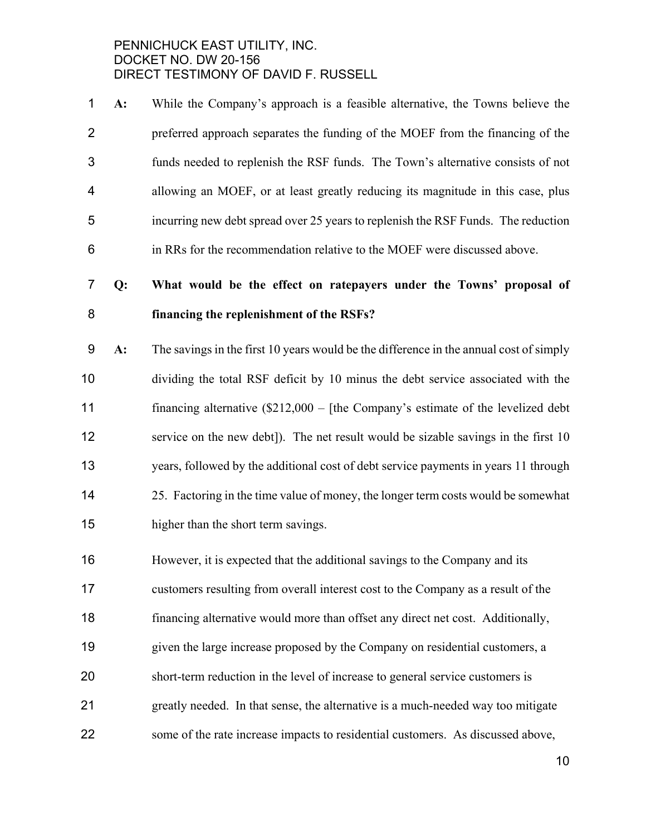**A:** While the Company's approach is a feasible alternative, the Towns believe the preferred approach separates the funding of the MOEF from the financing of the funds needed to replenish the RSF funds. The Town's alternative consists of not allowing an MOEF, or at least greatly reducing its magnitude in this case, plus incurring new debt spread over 25 years to replenish the RSF Funds. The reduction in RRs for the recommendation relative to the MOEF were discussed above.

# **Q: What would be the effect on ratepayers under the Towns' proposal of financing the replenishment of the RSFs?**

- **A:** The savings in the first 10 years would be the difference in the annual cost of simply dividing the total RSF deficit by 10 minus the debt service associated with the financing alternative (\$212,000 – [the Company's estimate of the levelized debt service on the new debt]). The net result would be sizable savings in the first 10 years, followed by the additional cost of debt service payments in years 11 through 25. Factoring in the time value of money, the longer term costs would be somewhat higher than the short term savings.
- However, it is expected that the additional savings to the Company and its customers resulting from overall interest cost to the Company as a result of the financing alternative would more than offset any direct net cost. Additionally, given the large increase proposed by the Company on residential customers, a short-term reduction in the level of increase to general service customers is greatly needed. In that sense, the alternative is a much-needed way too mitigate some of the rate increase impacts to residential customers. As discussed above,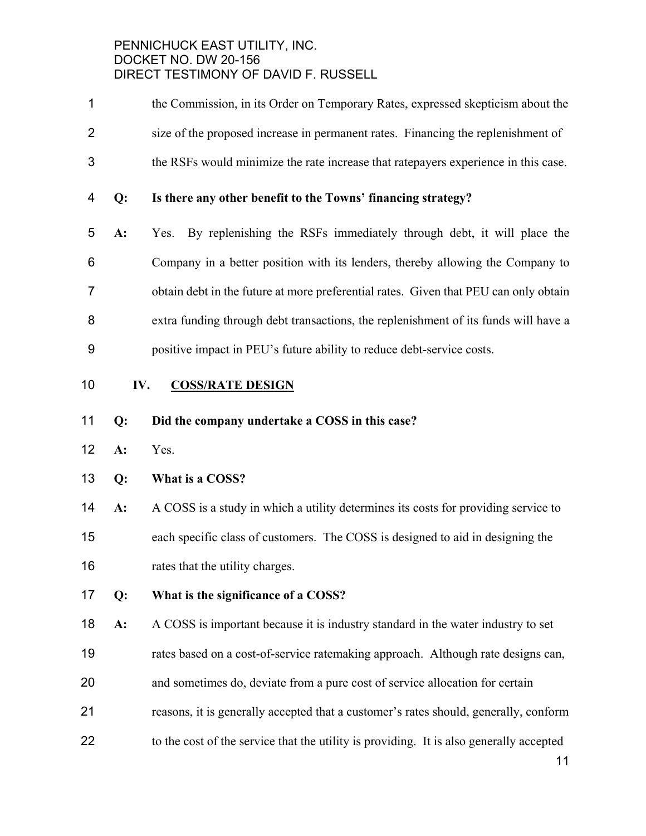- the Commission, in its Order on Temporary Rates, expressed skepticism about the size of the proposed increase in permanent rates. Financing the replenishment of the RSFs would minimize the rate increase that ratepayers experience in this case.
- **Q: Is there any other benefit to the Towns' financing strategy?**
- **A:** Yes. By replenishing the RSFs immediately through debt, it will place the Company in a better position with its lenders, thereby allowing the Company to obtain debt in the future at more preferential rates. Given that PEU can only obtain extra funding through debt transactions, the replenishment of its funds will have a positive impact in PEU's future ability to reduce debt-service costs.

#### **IV. COSS/RATE DESIGN**

#### **Q: Did the company undertake a COSS in this case?**

**A:** Yes.

## **Q: What is a COSS?**

- **A:** A COSS is a study in which a utility determines its costs for providing service to each specific class of customers. The COSS is designed to aid in designing the rates that the utility charges.
- **Q: What is the significance of a COSS?**
- **A:** A COSS is important because it is industry standard in the water industry to set
- rates based on a cost-of-service ratemaking approach. Although rate designs can,
- and sometimes do, deviate from a pure cost of service allocation for certain
- reasons, it is generally accepted that a customer's rates should, generally, conform
- 22 to the cost of the service that the utility is providing. It is also generally accepted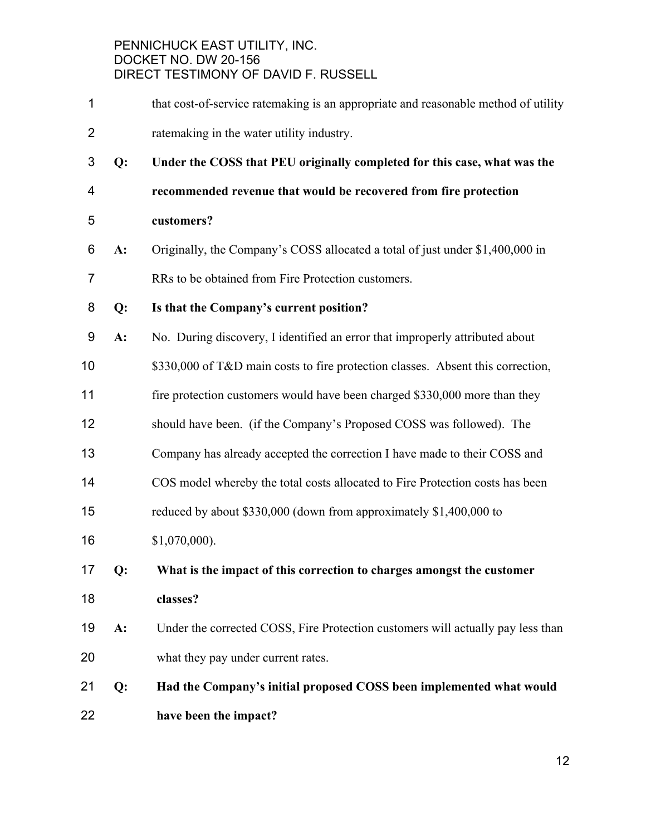- 1 that cost-of-service ratemaking is an appropriate and reasonable method of utility ratemaking in the water utility industry.
- **Q: Under the COSS that PEU originally completed for this case, what was the**
- **recommended revenue that would be recovered from fire protection**
- **customers?**
- **A:** Originally, the Company's COSS allocated a total of just under \$1,400,000 in
- RRs to be obtained from Fire Protection customers.
- **Q: Is that the Company's current position?**
- **A:** No. During discovery, I identified an error that improperly attributed about
- 10 \$330,000 of T&D main costs to fire protection classes. Absent this correction,
- 11 fire protection customers would have been charged \$330,000 more than they
- should have been. (if the Company's Proposed COSS was followed). The
- Company has already accepted the correction I have made to their COSS and
- COS model whereby the total costs allocated to Fire Protection costs has been
- reduced by about \$330,000 (down from approximately \$1,400,000 to
- \$1,070,000).
- **Q: What is the impact of this correction to charges amongst the customer classes?**
- **A:** Under the corrected COSS, Fire Protection customers will actually pay less than what they pay under current rates.
- **Q: Had the Company's initial proposed COSS been implemented what would have been the impact?**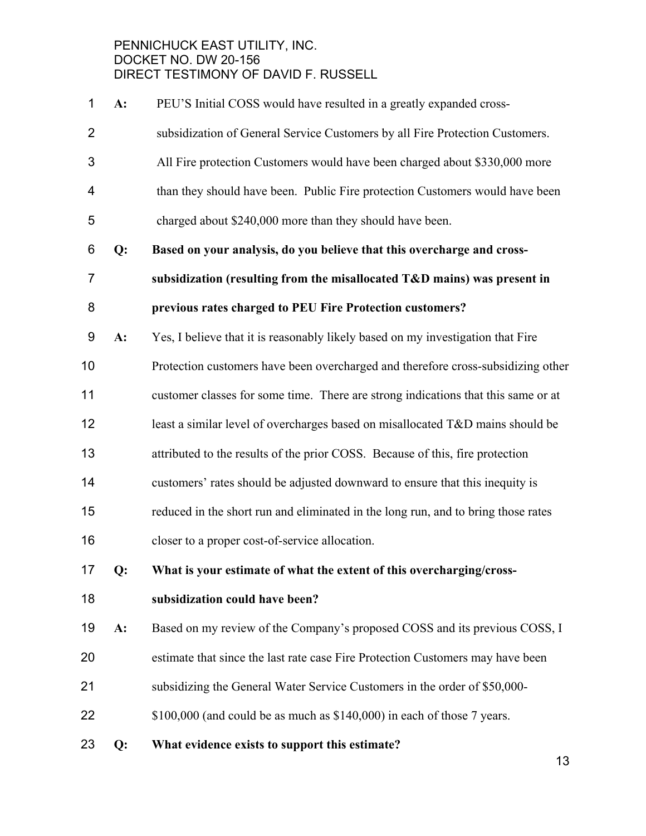| 1              | A: | PEU'S Initial COSS would have resulted in a greatly expanded cross-               |
|----------------|----|-----------------------------------------------------------------------------------|
| $\overline{2}$ |    | subsidization of General Service Customers by all Fire Protection Customers.      |
| 3              |    | All Fire protection Customers would have been charged about \$330,000 more        |
| 4              |    | than they should have been. Public Fire protection Customers would have been      |
| 5              |    | charged about \$240,000 more than they should have been.                          |
| 6              | Q: | Based on your analysis, do you believe that this overcharge and cross-            |
| $\overline{7}$ |    | subsidization (resulting from the misallocated T&D mains) was present in          |
| 8              |    | previous rates charged to PEU Fire Protection customers?                          |
| 9              | A: | Yes, I believe that it is reasonably likely based on my investigation that Fire   |
| 10             |    | Protection customers have been overcharged and therefore cross-subsidizing other  |
| 11             |    | customer classes for some time. There are strong indications that this same or at |
| 12             |    | least a similar level of overcharges based on misallocated T&D mains should be    |
| 13             |    | attributed to the results of the prior COSS. Because of this, fire protection     |
| 14             |    | customers' rates should be adjusted downward to ensure that this inequity is      |
| 15             |    | reduced in the short run and eliminated in the long run, and to bring those rates |
| 16             |    | closer to a proper cost-of-service allocation.                                    |
| 17             | Q: | What is your estimate of what the extent of this overcharging/cross-              |
| 18             |    | subsidization could have been?                                                    |
| 19             | A: | Based on my review of the Company's proposed COSS and its previous COSS, I        |
| 20             |    | estimate that since the last rate case Fire Protection Customers may have been    |
| 21             |    | subsidizing the General Water Service Customers in the order of \$50,000-         |
| 22             |    | \$100,000 (and could be as much as \$140,000) in each of those 7 years.           |
| 23             | Q: | What evidence exists to support this estimate?                                    |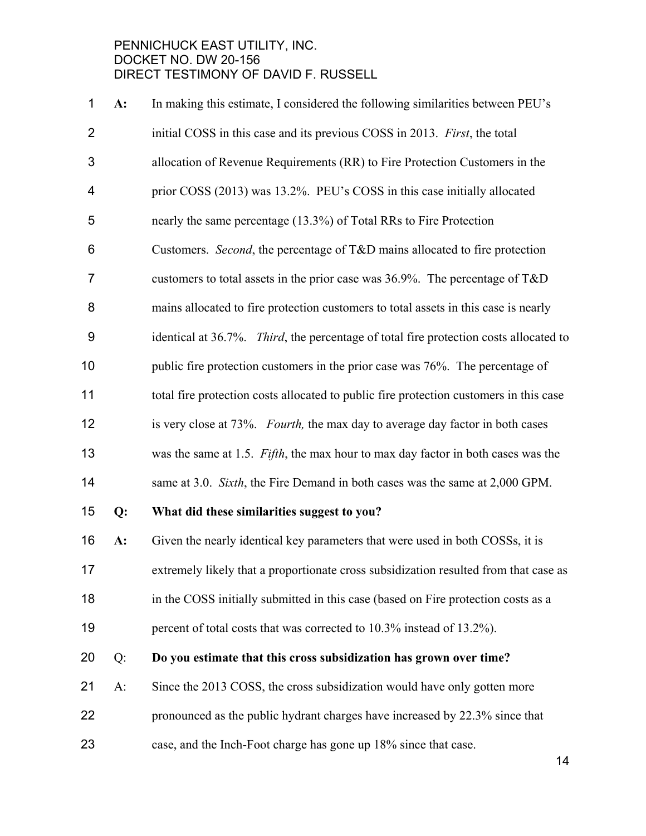| 1              | A: | In making this estimate, I considered the following similarities between PEU's                |
|----------------|----|-----------------------------------------------------------------------------------------------|
| $\overline{2}$ |    | initial COSS in this case and its previous COSS in 2013. First, the total                     |
| 3              |    | allocation of Revenue Requirements (RR) to Fire Protection Customers in the                   |
| 4              |    | prior COSS (2013) was 13.2%. PEU's COSS in this case initially allocated                      |
| 5              |    | nearly the same percentage (13.3%) of Total RRs to Fire Protection                            |
| 6              |    | Customers. Second, the percentage of T&D mains allocated to fire protection                   |
| $\overline{7}$ |    | customers to total assets in the prior case was $36.9\%$ . The percentage of T&D              |
| 8              |    | mains allocated to fire protection customers to total assets in this case is nearly           |
| 9              |    | identical at 36.7%. <i>Third</i> , the percentage of total fire protection costs allocated to |
| 10             |    | public fire protection customers in the prior case was 76%. The percentage of                 |
| 11             |    | total fire protection costs allocated to public fire protection customers in this case        |
| 12             |    | is very close at 73%. Fourth, the max day to average day factor in both cases                 |
| 13             |    | was the same at 1.5. Fifth, the max hour to max day factor in both cases was the              |
| 14             |    | same at 3.0. Sixth, the Fire Demand in both cases was the same at 2,000 GPM.                  |
| 15             | Q: | What did these similarities suggest to you?                                                   |
| 16             | A: | Given the nearly identical key parameters that were used in both COSSs, it is                 |
| 17             |    | extremely likely that a proportionate cross subsidization resulted from that case as          |
| 18             |    | in the COSS initially submitted in this case (based on Fire protection costs as a             |
| 19             |    | percent of total costs that was corrected to 10.3% instead of 13.2%).                         |
| 20             | Q: | Do you estimate that this cross subsidization has grown over time?                            |
| 21             | A: | Since the 2013 COSS, the cross subsidization would have only gotten more                      |
| 22             |    | pronounced as the public hydrant charges have increased by 22.3% since that                   |
| 23             |    | case, and the Inch-Foot charge has gone up 18% since that case.                               |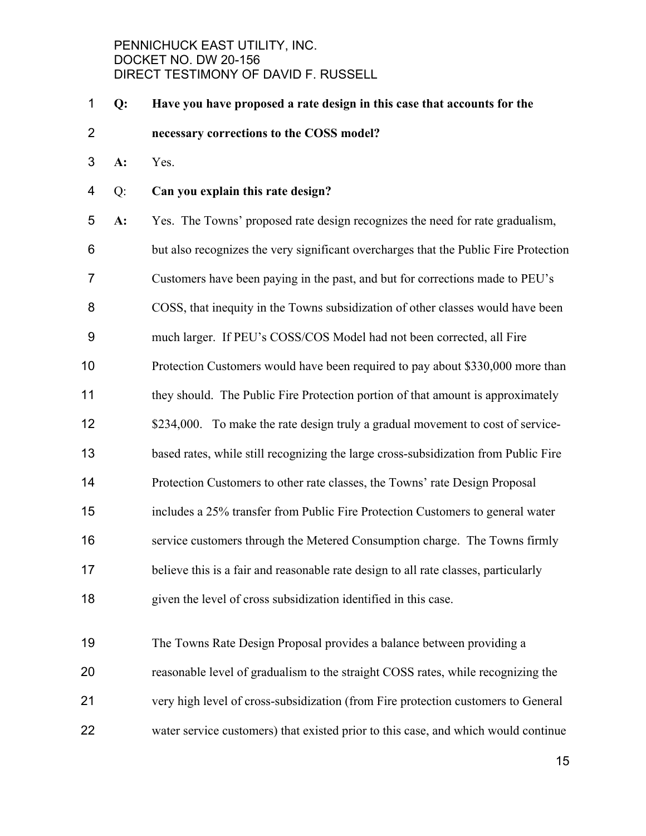- **Q: Have you have proposed a rate design in this case that accounts for the necessary corrections to the COSS model?**
- **A:** Yes.
- Q: **Can you explain this rate design?**

**A:** Yes.The Towns' proposed rate design recognizes the need for rate gradualism, but also recognizes the very significant overcharges that the Public Fire Protection Customers have been paying in the past, and but for corrections made to PEU's COSS, that inequity in the Towns subsidization of other classes would have been much larger. If PEU's COSS/COS Model had not been corrected, all Fire Protection Customers would have been required to pay about \$330,000 more than 11 they should. The Public Fire Protection portion of that amount is approximately 12 \$234,000. To make the rate design truly a gradual movement to cost of service-based rates, while still recognizing the large cross-subsidization from Public Fire Protection Customers to other rate classes, the Towns' rate Design Proposal includes a 25% transfer from Public Fire Protection Customers to general water service customers through the Metered Consumption charge. The Towns firmly believe this is a fair and reasonable rate design to all rate classes, particularly given the level of cross subsidization identified in this case.

The Towns Rate Design Proposal provides a balance between providing a reasonable level of gradualism to the straight COSS rates, while recognizing the very high level of cross-subsidization (from Fire protection customers to General water service customers) that existed prior to this case, and which would continue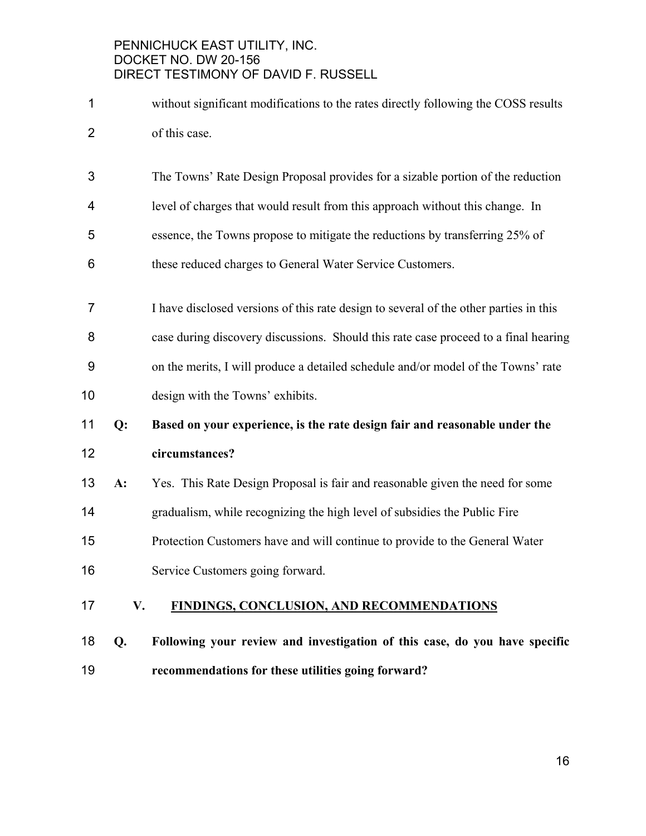- without significant modifications to the rates directly following the COSS results of this case.
- The Towns' Rate Design Proposal provides for a sizable portion of the reduction
- level of charges that would result from this approach without this change. In
- essence, the Towns propose to mitigate the reductions by transferring 25% of
- these reduced charges to General Water Service Customers.
- I have disclosed versions of this rate design to several of the other parties in this
- case during discovery discussions. Should this rate case proceed to a final hearing
- on the merits, I will produce a detailed schedule and/or model of the Towns' rate design with the Towns' exhibits.

# **Q: Based on your experience, is the rate design fair and reasonable under the circumstances?**

- **A:** Yes. This Rate Design Proposal is fair and reasonable given the need for some gradualism, while recognizing the high level of subsidies the Public Fire Protection Customers have and will continue to provide to the General Water
- Service Customers going forward.

## **V. FINDINGS, CONCLUSION, AND RECOMMENDATIONS**

**Q. Following your review and investigation of this case, do you have specific recommendations for these utilities going forward?**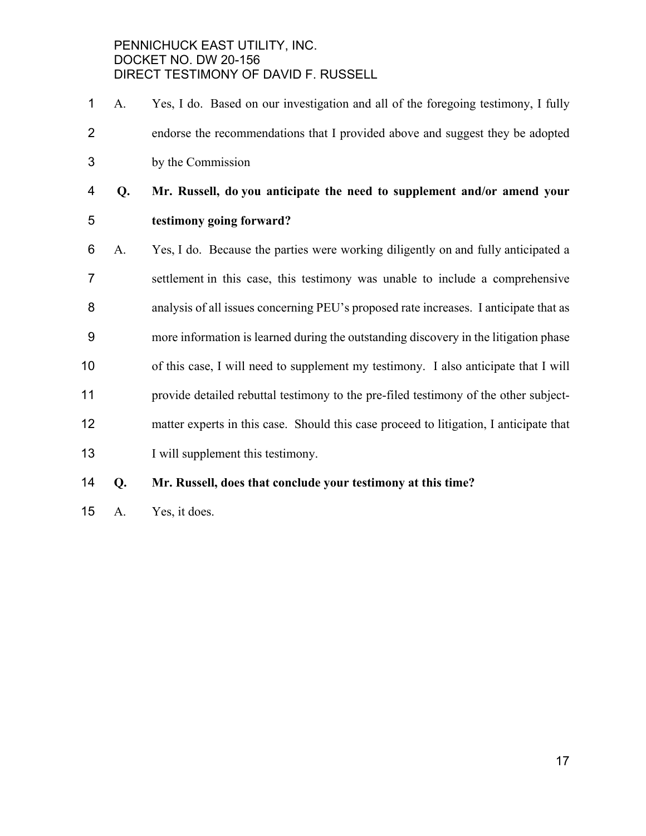- A. Yes, I do. Based on our investigation and all of the foregoing testimony, I fully endorse the recommendations that I provided above and suggest they be adopted by the Commission
- **Q. Mr. Russell, do you anticipate the need to supplement and/or amend your testimony going forward?**
- A. Yes, I do. Because the parties were working diligently on and fully anticipated a settlement in this case, this testimony was unable to include a comprehensive analysis of all issues concerning PEU's proposed rate increases. I anticipate that as more information is learned during the outstanding discovery in the litigation phase of this case, I will need to supplement my testimony. I also anticipate that I will provide detailed rebuttal testimony to the pre-filed testimony of the other subject-matter experts in this case. Should this case proceed to litigation, I anticipate that 13 I will supplement this testimony.

# **Q. Mr. Russell, does that conclude your testimony at this time?**

A. Yes, it does.